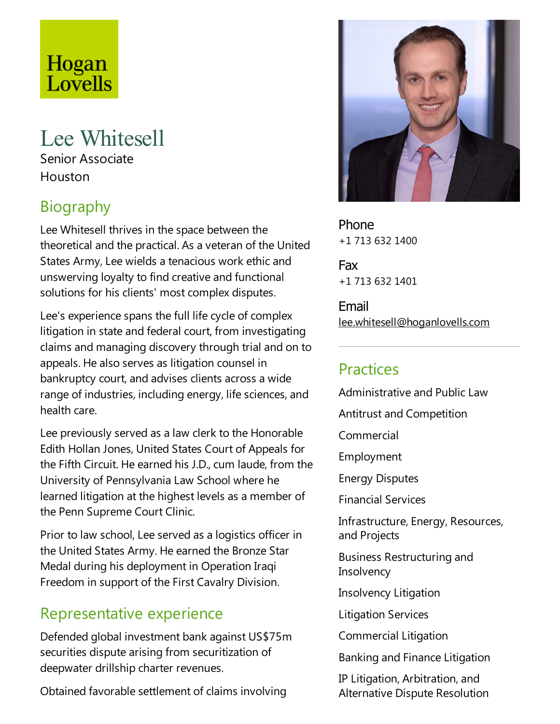# Hogan Lovells

## Lee Whitesell

Senior Associate Houston

## **Biography**

Lee Whitesell thrives in the space between the theoretical and the practical. As aveteran of the United States Army, Lee wields a tenacious work ethic and unswerving loyalty to find creative and functional solutions for his clients' most complex disputes.

Lee's experience spans the full life cycle of complex litigation in state and federal court, from investigating claims and managing discovery through trial and on to appeals. He also serves as litigation counsel in bankruptcy court, and advises clients across a wide range of industries, including energy, life sciences, and health care.

Lee previously served as alaw clerk to the Honorable Edith Hollan Jones, United States Court of Appeals for the Fifth Circuit. He earned his J.D., cum laude, from the University of Pennsylvania Law School where he learned litigation at the highest levels as a member of the Penn Supreme Court Clinic.

Prior to law school, Lee served as a logistics officer in the United States Army. He earned the Bronze Star Medal during his deployment in Operation Iraqi Freedom in support of the First Cavalry Division.

### Representative experience

Defended global investment bank against US\$75m securities dispute arising from securitization of deepwater drillship charter revenues.

Obtained favorable settlement of claims involving



Phone +1 713 632 1400

Fax +1 713 632 1401

Email lee.whitesell@hoganlovells.com

#### Practices

Administrative and Public Law Antitrust and Competition Commercial Employment Energy Disputes Financial Services Infrastructure, Energy, Resources, and Projects Business Restructuring and **Insolvency** Insolvency Litigation Litigation Services Commercial Litigation Banking and Finance Litigation

IP Litigation, Arbitration, and Alternative Dispute Resolution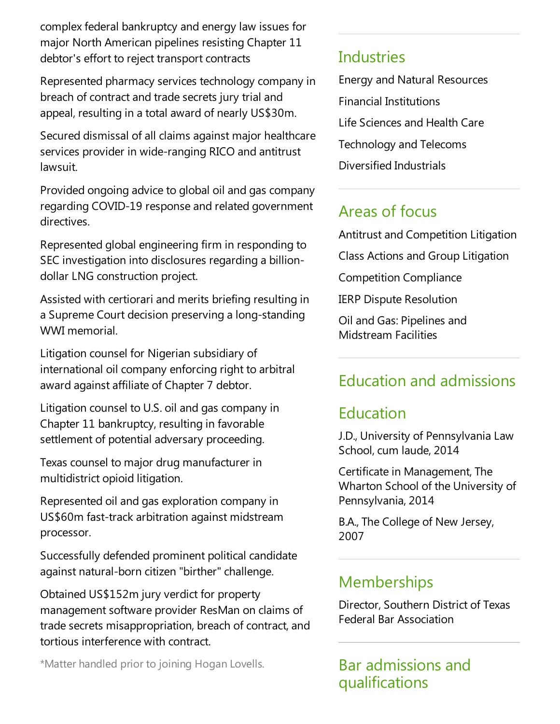complex federal bankruptcy and energy law issues for major North American pipelines resisting Chapter 11 debtor's effort to reject transport contracts

Represented pharmacy services technology company in breach of contract and trade secrets jury trial and appeal, resulting in atotal award of nearly US\$30m.

Secured dismissal of all claims against major healthcare services provider in wide-ranging RICO and antitrust lawsuit.

Provided ongoing advice to global oil and gas company regarding COVID-19 response and related government directives.

Represented global engineering firm in responding to SEC investigation into disclosures regarding a billiondollar LNG construction project.

Assisted with certiorari and merits briefing resulting in a Supreme Court decision preserving a long-standing WWI memorial.

Litigation counsel for Nigerian subsidiary of international oil company enforcing right to arbitral award against affiliate of Chapter 7 debtor.

Litigation counsel to U.S. oil and gas company in Chapter 11 bankruptcy, resulting in favorable settlement of potential adversary proceeding.

Texas counsel to major drug manufacturer in multidistrict opioid litigation.

Represented oil and gas exploration company in US\$60m fast-track arbitration against midstream processor.

Successfully defended prominent political candidate against natural-born citizen "birther" challenge.

Obtained US\$152m jury verdict for property management software provider ResMan on claims of trade secrets misappropriation, breach of contract, and tortious interference with contract.

\*Matter handled prior to joining Hogan Lovells.

#### **Industries**

Energy and Natural Resources Financial Institutions Life Sciences and Health Care Technology and Telecoms Diversified Industrials

## Areas of focus

Antitrustand Competition Litigation

Class Actions and Group Litigation

Competition Compliance

IERP Dispute Resolution

Oil and Gas: Pipelines and Midstream Facilities

## Education and admissions

### Education

J.D., University of Pennsylvania Law School, cum laude, 2014

Certificate in Management, The Wharton School of the University of Pennsylvania, 2014

B.A., The College of New Jersey, 2007

#### **Memberships**

Director, Southern District of Texas Federal Bar Association

Bar admissions and qualifications